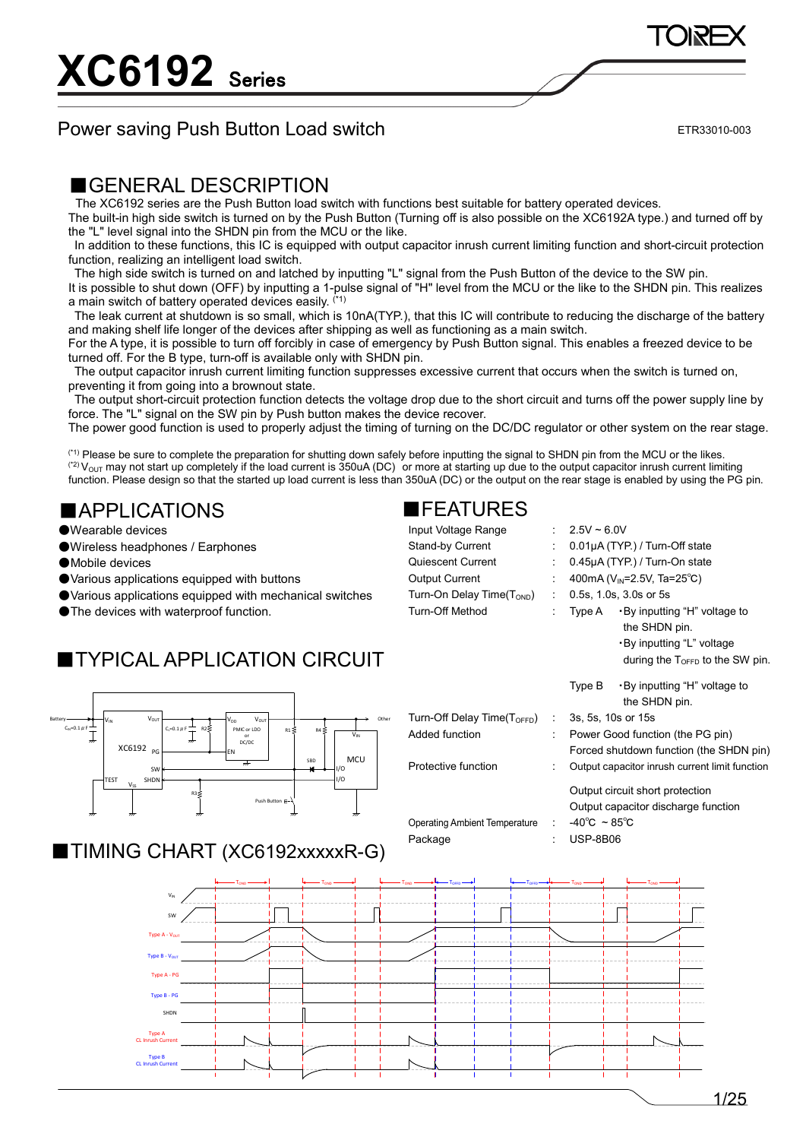### Power saving Push Button Load switch

ETR33010-003

### ■GENERAL DESCRIPTION

The XC6192 series are the Push Button load switch with functions best suitable for battery operated devices.

The built-in high side switch is turned on by the Push Button (Turning off is also possible on the XC6192A type.) and turned off by the "L" level signal into the SHDN pin from the MCU or the like.

In addition to these functions, this IC is equipped with output capacitor inrush current limiting function and short-circuit protection function, realizing an intelligent load switch.

The high side switch is turned on and latched by inputting "L" signal from the Push Button of the device to the SW pin.

It is possible to shut down (OFF) by inputting a 1-pulse signal of "H" level from the MCU or the like to the SHDN pin. This realizes a main switch of battery operated devices easily. (\*1)

The leak current at shutdown is so small, which is 10nA(TYP.), that this IC will contribute to reducing the discharge of the battery and making shelf life longer of the devices after shipping as well as functioning as a main switch.

For the A type, it is possible to turn off forcibly in case of emergency by Push Button signal. This enables a freezed device to be turned off. For the B type, turn-off is available only with SHDN pin.

The output capacitor inrush current limiting function suppresses excessive current that occurs when the switch is turned on, preventing it from going into a brownout state.

The output short-circuit protection function detects the voltage drop due to the short circuit and turns off the power supply line by force. The "L" signal on the SW pin by Push button makes the device recover.

The power good function is used to properly adjust the timing of turning on the DC/DC regulator or other system on the rear stage.

(\*1) Please be sure to complete the preparation for shutting down safely before inputting the signal to SHDN pin from the MCU or the likes.  $^{(2)}$  V<sub>OUT</sub> may not start up completely if the load current is 350uA (DC) or more at starting up due to the output capacitor inrush current limiting function. Please design so that the started up load current is less than 350uA (DC) or the output on the rear stage is enabled by using the PG pin.

### ■APPLICATIONS

●Wearable devices

- ●Wireless headphones / Earphones
- ●Mobile devices
- ●Various applications equipped with buttons
- ●Various applications equipped with mechanical switches
- ●The devices with waterproof function.

### ■TYPICAL APPLICATION CIRCUIT



### ■TIMING CHART (XC6192xxxxxR-G)

|                                           | $-\tau_{\text{on}}$ — | $+TOND +$ | — т <sub>оғғр</sub> — - - - -<br>$-\tau_{\rm oso}$ $-$ | $-\tau_{\rm orb}$ $\longrightarrow$<br>T <sub>OND</sub> | TOND |
|-------------------------------------------|-----------------------|-----------|--------------------------------------------------------|---------------------------------------------------------|------|
| $\mathsf{V}_{\mathsf{IN}}$                |                       |           |                                                        |                                                         |      |
| SW                                        |                       |           |                                                        |                                                         |      |
| Type A - Vour                             |                       |           |                                                        |                                                         |      |
| Type B - Vout                             |                       |           |                                                        |                                                         |      |
| Type A - PG                               |                       |           |                                                        |                                                         |      |
| Type B - PG                               |                       |           |                                                        |                                                         |      |
| SHDN                                      |                       |           |                                                        |                                                         |      |
| Type A<br><b>CL Inrush Current</b>        |                       |           |                                                        |                                                         |      |
| <b>Type B</b><br><b>CL Inrush Current</b> |                       |           |                                                        |                                                         |      |

Turn-Off Dela Added function

Protective fur

### ■FEATURES

| Input Voltage Range                    | $: 2.5V \sim 6.0V$                           |  |  |  |
|----------------------------------------|----------------------------------------------|--|--|--|
| <b>Stand-by Current</b>                | : $0.01\mu A$ (TYP) / Turn-Off state         |  |  |  |
| Quiescent Current                      | : $0.45\mu A(TYP)$ / Turn-On state           |  |  |  |
| <b>Output Current</b>                  | : 400mA ( $V_{\text{IN}}$ =2.5V, Ta=25°C)    |  |  |  |
| Turn-On Delay Time( $T_{\text{OND}}$ ) | $\therefore$ 0.5s, 1.0s, 3.0s or 5s          |  |  |  |
| Turn-Off Method                        | : Type A $\cdot$ By inputting "H" voltage to |  |  |  |
|                                        | the SHDN pin.                                |  |  |  |

|                                   |                |        | during the $T_{\text{OFFD}}$ to the SW pin.    |
|-----------------------------------|----------------|--------|------------------------------------------------|
|                                   |                | Type B | •By inputting "H" voltage to<br>the SHDN pin.  |
| ı <b>y Time(Т<sub>оғғр</sub>)</b> | <b>College</b> |        | 3s, 5s, 10s or 15s                             |
| ρn                                |                |        | Power Good function (the PG pin)               |
|                                   |                |        | Forced shutdown function (the SHDN pin)        |
| เction                            |                |        | Output capacitor inrush current limit function |

Output circuit short protection Output capacitor discharge function Operating Ambient Temperature : -40℃ ~ 85℃ Package : USP-8B06

・By inputting "L" voltage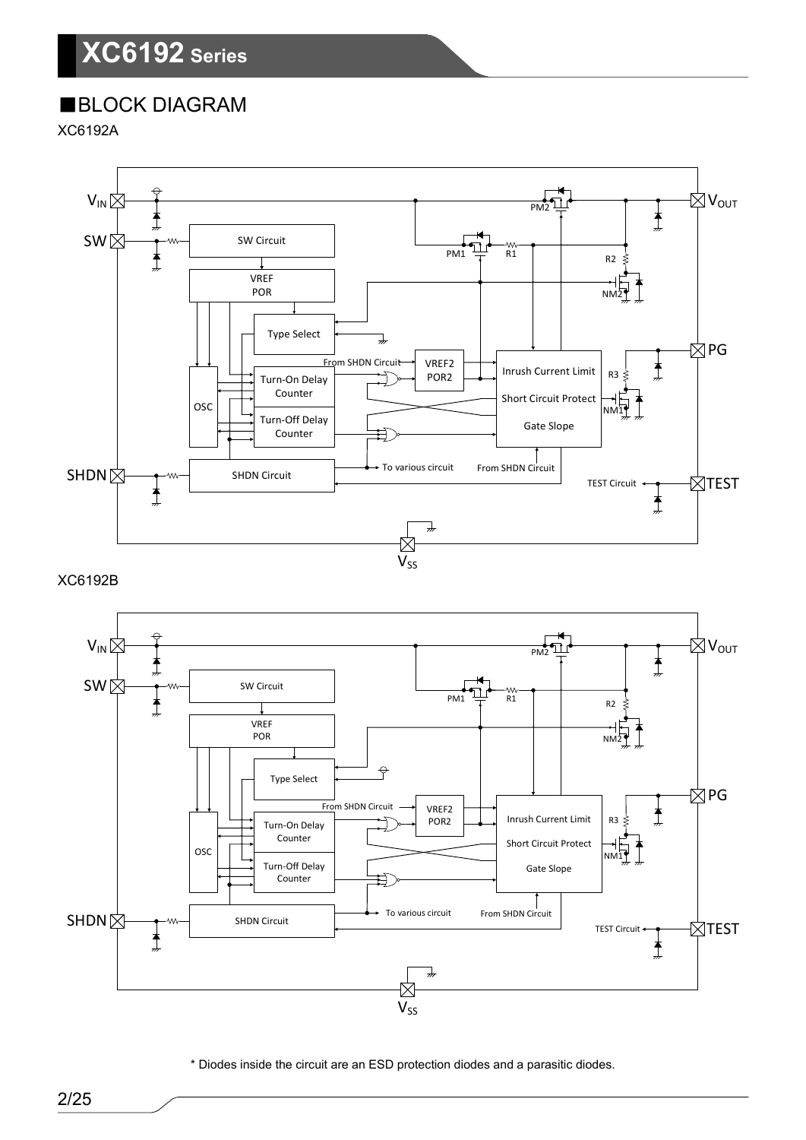## ■BLOCK DIAGRAM

XC6192A



XC6192B



\* Diodes inside the circuit are an ESD protection diodes and a parasitic diodes.

2/25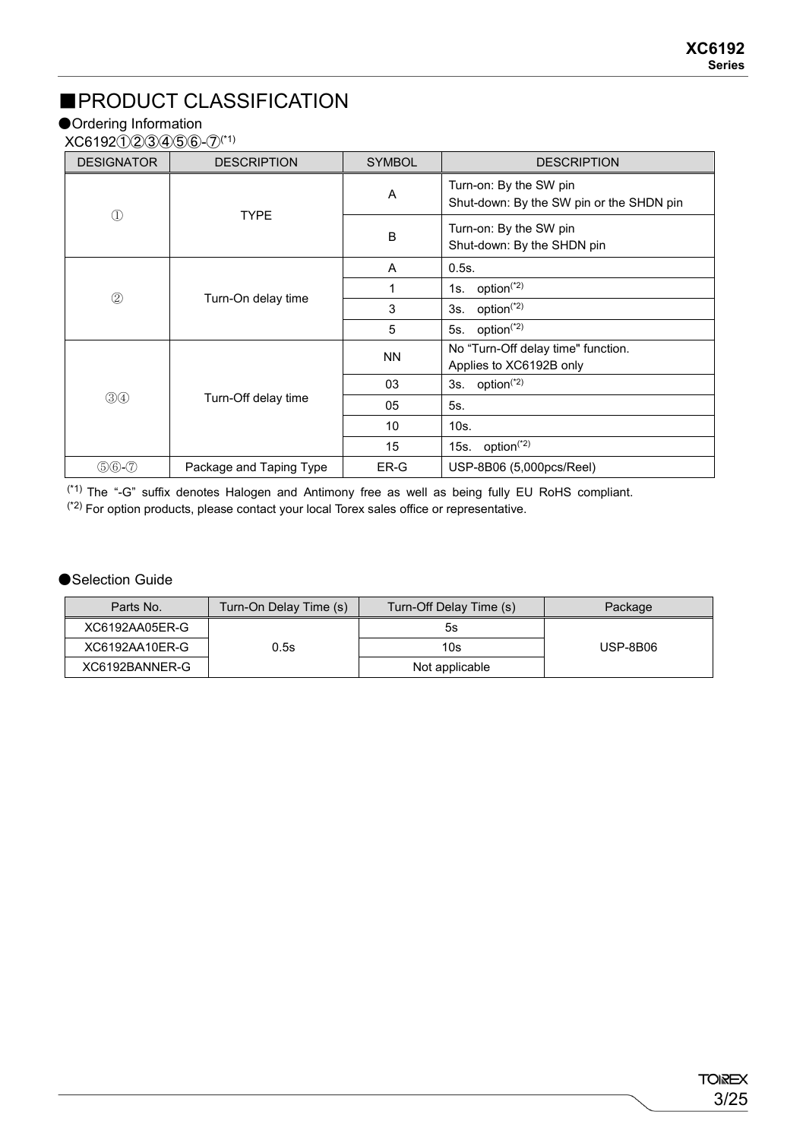## ■PRODUCT CLASSIFICATION

### ●Ordering Information

XC6192①②③④⑤⑥-⑦(\*1)

| <b>DESIGNATOR</b> | <b>DESCRIPTION</b>      | <b>SYMBOL</b> | <b>DESCRIPTION</b>                                                 |
|-------------------|-------------------------|---------------|--------------------------------------------------------------------|
| $\mathbb D$       | <b>TYPE</b>             | A             | Turn-on: By the SW pin<br>Shut-down: By the SW pin or the SHDN pin |
|                   |                         | B             | Turn-on: By the SW pin<br>Shut-down: By the SHDN pin               |
|                   |                         | A             | 0.5s.                                                              |
| $\circled{2}$     | Turn-On delay time      |               | option <sup>(*2)</sup><br>1s.                                      |
|                   |                         | 3             | option <sup>(*2)</sup><br>3s.                                      |
|                   |                         | 5             | 5s. option <sup>(*2)</sup>                                         |
|                   |                         | <b>NN</b>     | No "Turn-Off delay time" function.<br>Applies to XC6192B only      |
|                   |                         | 03            | 3s. option <sup><math>(2)</math></sup>                             |
| $\circled34$      | Turn-Off delay time     | 05            | 5s.                                                                |
|                   |                         | 10            | 10s.                                                               |
|                   |                         | 15            | 15s. option $(2)$                                                  |
| $$60-7$           | Package and Taping Type | ER-G          | USP-8B06 (5,000pcs/Reel)                                           |

 $(1)$  The "-G" suffix denotes Halogen and Antimony free as well as being fully EU RoHS compliant.  $(12)$  For option products, please contact your local Torex sales office or representative.

#### ●Selection Guide

| Parts No.      | Turn-On Delay Time (s) | Turn-Off Delay Time (s) | Package         |
|----------------|------------------------|-------------------------|-----------------|
| XC6192AA05ER-G |                        | 5s                      |                 |
| XC6192AA10ER-G | 0.5s                   | 10s                     | <b>USP-8B06</b> |
| XC6192BANNER-G |                        | Not applicable          |                 |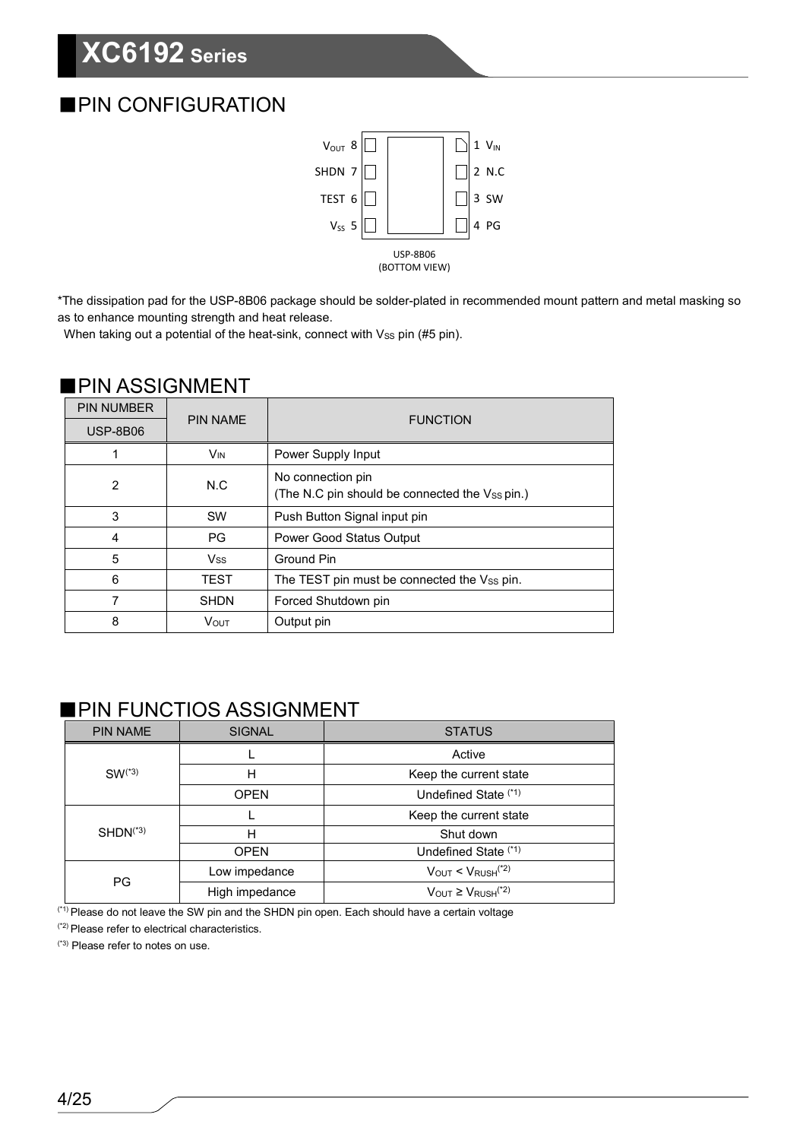## ■PIN CONFIGURATION



\*The dissipation pad for the USP-8B06 package should be solder-plated in recommended mount pattern and metal masking so as to enhance mounting strength and heat release.

When taking out a potential of the heat-sink, connect with Vss pin (#5 pin).

### ■PIN ASSIGNMENT

| <b>PIN NUMBER</b> | <b>PIN NAME</b>       |                                                                     |  |
|-------------------|-----------------------|---------------------------------------------------------------------|--|
| <b>USP-8B06</b>   |                       | <b>FUNCTION</b>                                                     |  |
|                   | <b>V<sub>IN</sub></b> | Power Supply Input                                                  |  |
| 2                 | N.C                   | No connection pin<br>(The N.C pin should be connected the Vss pin.) |  |
| 3                 | <b>SW</b>             | Push Button Signal input pin                                        |  |
| 4                 | <b>PG</b>             | <b>Power Good Status Output</b>                                     |  |
| 5                 | <b>V<sub>SS</sub></b> | Ground Pin                                                          |  |
| 6                 | <b>TEST</b>           | The TEST pin must be connected the Vss pin.                         |  |
| 7                 | <b>SHDN</b>           | Forced Shutdown pin                                                 |  |
| 8                 | <b>VOUT</b>           | Output pin                                                          |  |

### ■PIN FUNCTIOS ASSIGNMENT

| <b>PIN NAME</b> | <b>SIGNAL</b>  | <b>STATUS</b>                                         |  |  |  |
|-----------------|----------------|-------------------------------------------------------|--|--|--|
|                 |                | Active                                                |  |  |  |
| $SW(*3)$        | н              | Keep the current state                                |  |  |  |
|                 | <b>OPEN</b>    | Undefined State (*1)                                  |  |  |  |
|                 |                | Keep the current state                                |  |  |  |
| $SHDN(*3)$      | н              | Shut down                                             |  |  |  |
|                 | <b>OPEN</b>    | Undefined State (*1)                                  |  |  |  |
| <b>PG</b>       | Low impedance  | $V_{OUT} < V_{RUSH}$ <sup>(*2)</sup>                  |  |  |  |
|                 | High impedance | $V_{\text{OUT}} \geq V_{\text{RUSH}}$ <sup>(*2)</sup> |  |  |  |

<sup>(\*1)</sup> Please do not leave the SW pin and the SHDN pin open. Each should have a certain voltage

(\*2) Please refer to electrical characteristics.

(\*3) Please refer to notes on use.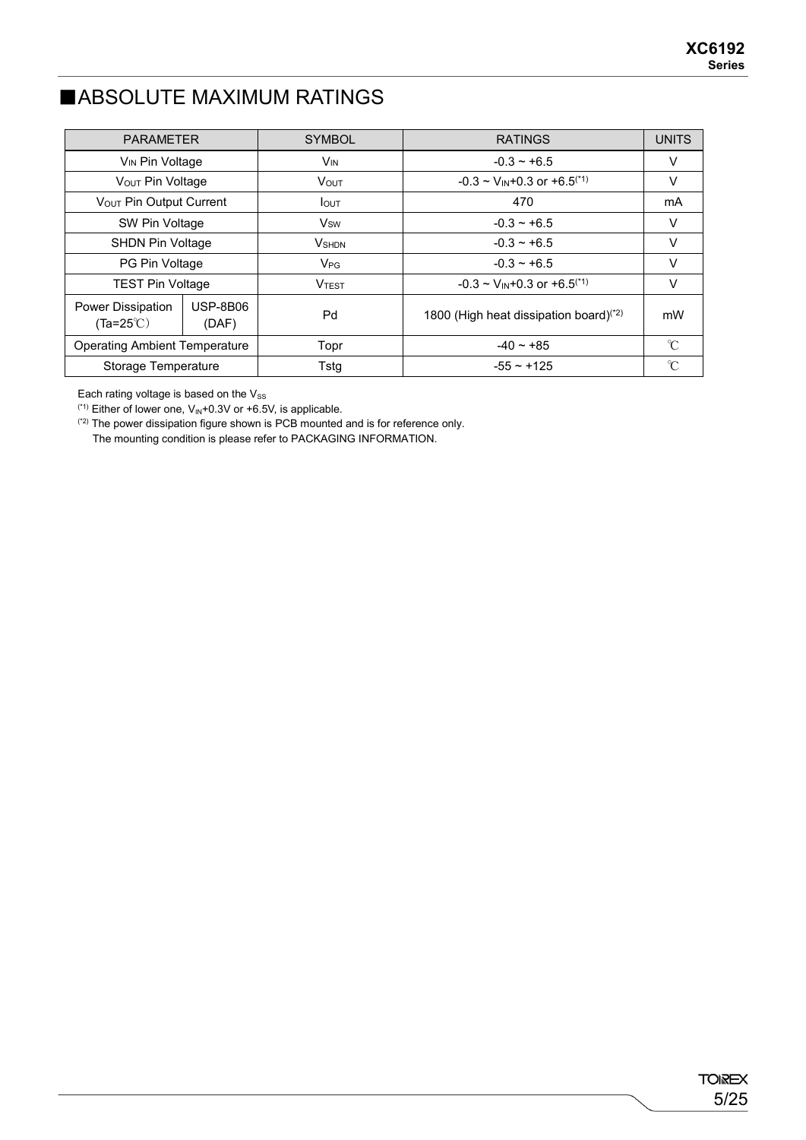### ■ABSOLUTE MAXIMUM RATINGS

| <b>PARAMETER</b>                               |                                         | <b>SYMBOL</b>   | <b>RATINGS</b>                                     | <b>UNITS</b>        |
|------------------------------------------------|-----------------------------------------|-----------------|----------------------------------------------------|---------------------|
| V <sub>IN</sub> Pin Voltage                    |                                         | V <sub>IN</sub> | $-0.3 - +6.5$                                      | V                   |
| VOUT Pin Voltage                               |                                         | <b>VOUT</b>     | $-0.3 \sim V_{IN} + 0.3$ or $+6.5$ <sup>(*1)</sup> | V                   |
| Vout Pin Output Current                        |                                         | lout            | 470                                                | mA                  |
|                                                | SW Pin Voltage                          |                 | $-0.3 - +6.5$                                      | v                   |
|                                                | <b>SHDN Pin Voltage</b>                 |                 | $-0.3 - +6.5$                                      | v                   |
| PG Pin Voltage                                 |                                         | $V_{PG}$        | $-0.3 - +6.5$                                      | v                   |
|                                                | <b>TEST Pin Voltage</b><br><b>VTEST</b> |                 | $-0.3 \sim V_{IN} + 0.3$ or $+6.5^{(1)}$           | v                   |
| <b>Power Dissipation</b><br>$(Ta=25^{\circ}C)$ | <b>USP-8B06</b><br>(DAF)                | Pd              | 1800 (High heat dissipation board) <sup>(*2)</sup> | mW                  |
| <b>Operating Ambient Temperature</b>           |                                         | Topr            | $-40 - 85$                                         | $\gamma$            |
| Storage Temperature                            |                                         | Tstg            | $-55 - +125$                                       | $\hat{\mathcal{C}}$ |

Each rating voltage is based on the  $V_\mathrm{SS}$ 

 $(1)$  Either of lower one,  $V_{\text{IN}}$ +0.3V or +6.5V, is applicable.

(\*2) The power dissipation figure shown is PCB mounted and is for reference only.

The mounting condition is please refer to PACKAGING INFORMATION.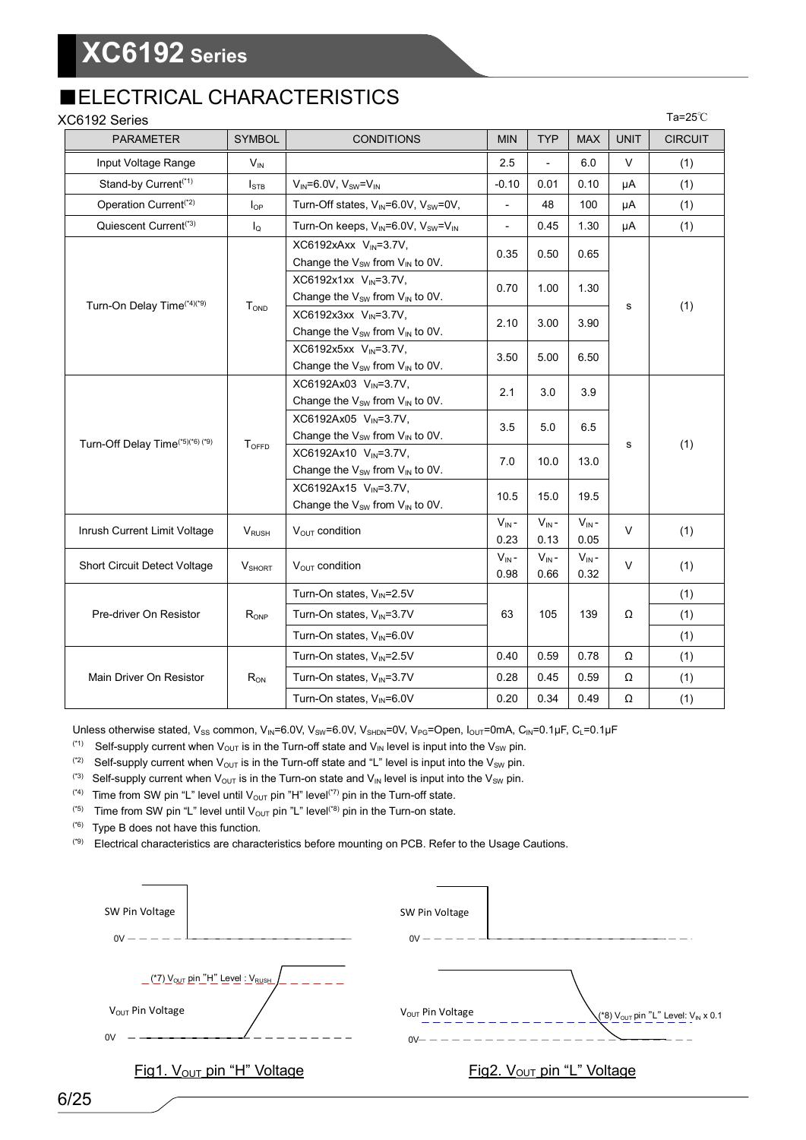### ■ELECTRICAL CHARACTERISTICS

| XC6192 Series                                |                          |                                                                                             |                    |                      |                    |             | Ta=25 $°C$     |
|----------------------------------------------|--------------------------|---------------------------------------------------------------------------------------------|--------------------|----------------------|--------------------|-------------|----------------|
| <b>PARAMETER</b>                             | <b>SYMBOL</b>            | <b>CONDITIONS</b>                                                                           | <b>MIN</b>         | <b>TYP</b>           | <b>MAX</b>         | <b>UNIT</b> | <b>CIRCUIT</b> |
| Input Voltage Range                          | $V_{IN}$                 |                                                                                             | 2.5                | $\overline{a}$       | 6.0                | V           | (1)            |
| Stand-by Current <sup>(*1)</sup>             | $I_{\text{STB}}$         | $V_{IN} = 6.0 V, V_{SW} = V_{IN}$                                                           | $-0.10$            | 0.01                 | 0.10               | μA          | (1)            |
| Operation Current <sup>(*2)</sup>            | $I_{OP}$                 | Turn-Off states, $V_{IN} = 6.0V$ , $V_{SW} = 0V$ ,                                          | $\overline{a}$     | 48                   | 100                | μA          | (1)            |
| Quiescent Current <sup>(*3)</sup>            | I <sub>Q</sub>           | Turn-On keeps, V <sub>IN</sub> =6.0V, V <sub>SW</sub> =V <sub>IN</sub>                      | $\frac{1}{2}$      | 0.45                 | 1.30               | μA          | (1)            |
|                                              |                          | XC6192xAxx V <sub>IN</sub> =3.7V,<br>Change the $V_{SW}$ from $V_{IN}$ to 0V.               | 0.35               | 0.50                 | 0.65               |             |                |
| Turn-On Delay Time <sup>(*4)(*9)</sup>       | T <sub>OND</sub>         | XC6192x1xx V <sub>IN</sub> =3.7V,<br>Change the V <sub>SW</sub> from V <sub>IN</sub> to 0V. | 0.70               | 1.00                 | 1.30               |             | (1)            |
|                                              |                          | XC6192x3xx V <sub>IN</sub> =3.7V,<br>Change the $V_{SW}$ from $V_{IN}$ to 0V.               | 2.10               | 3.00<br>3.50<br>5.00 | 3.90               | s           |                |
|                                              |                          | XC6192x5xx V <sub>IN</sub> =3.7V,<br>Change the $V_{SW}$ from $V_{IN}$ to 0V.               |                    |                      | 6.50               |             |                |
|                                              |                          | XC6192Ax03 V <sub>IN</sub> =3.7V,<br>Change the V <sub>SW</sub> from V <sub>IN</sub> to 0V. | 2.1                | 3.0<br>3.9           |                    |             |                |
|                                              | <b>TOFFD</b>             | XC6192Ax05 V <sub>IN</sub> =3.7V,<br>Change the V <sub>SW</sub> from V <sub>IN</sub> to 0V. | 3.5                | 5.0                  | 6.5                | s           |                |
| Turn-Off Delay Time <sup>(*5)(*6)</sup> (*9) |                          | XC6192Ax10 V <sub>IN</sub> =3.7V,<br>Change the $V_{SW}$ from $V_{IN}$ to 0V.               | 7.0                | 10.0                 | 13.0               |             | (1)            |
|                                              |                          | XC6192Ax15 V <sub>IN</sub> =3.7V,<br>Change the $V_{SW}$ from $V_{IN}$ to 0V.               | 10.5               | 15.0                 | 19.5               |             |                |
| Inrush Current Limit Voltage                 | <b>V</b> <sub>RUSH</sub> | V <sub>OUT</sub> condition                                                                  | $V_{IN}$ -<br>0.23 | $V_{IN}$ -<br>0.13   | $V_{IN}$ -<br>0.05 | V           | (1)            |
| Short Circuit Detect Voltage                 | <b>V</b> SHORT           | V <sub>OUT</sub> condition                                                                  | $V_{IN}$ -<br>0.98 | $V_{IN}$ -<br>0.66   | $V_{IN}$ -<br>0.32 | $\vee$      | (1)            |
|                                              |                          | Turn-On states, V <sub>IN</sub> =2.5V                                                       |                    |                      |                    |             | (1)            |
| Pre-driver On Resistor                       | R <sub>ONP</sub>         | Turn-On states, V <sub>IN</sub> =3.7V                                                       | 63                 | 105                  | 139                | Ω           | (1)            |
|                                              |                          | Turn-On states, VIN=6.0V                                                                    |                    |                      |                    |             | (1)            |
|                                              |                          | Turn-On states, V <sub>IN</sub> =2.5V                                                       | 0.40               | 0.59                 | 0.78               | Ω           | (1)            |
| Main Driver On Resistor                      | $R_{ON}$                 | Turn-On states, V <sub>IN</sub> =3.7V                                                       | 0.28               | 0.45                 | 0.59               | Ω           | (1)            |
|                                              |                          | Turn-On states, V <sub>IN</sub> =6.0V                                                       | 0.20               | 0.34                 | 0.49               | Ω           | (1)            |

Unless otherwise stated, V<sub>SS</sub> common, V<sub>IN</sub>=6.0V, V<sub>SW</sub>=6.0V, V<sub>SHDN</sub>=0V, V<sub>PG</sub>=Open, I<sub>OUT</sub>=0mA, C<sub>IN</sub>=0.1µF, C<sub>L</sub>=0.1µF

- (\*1) Self-supply current when  $V_{OUT}$  is in the Turn-off state and  $V_{IN}$  level is input into the  $V_{SW}$  pin.
- (2) Self-supply current when  $V_{OUT}$  is in the Turn-off state and "L" level is input into the  $V_{SW}$  pin.
- <sup>(\*3)</sup> Self-supply current when  $V_{OUT}$  is in the Turn-on state and  $V_{IN}$  level is input into the  $V_{SW}$  pin.
- <sup>(\*4)</sup> Time from SW pin "L" level until  $V_{OUT}$  pin "H" level<sup>(\*7)</sup> pin in the Turn-off state.
- (\*5) Time from SW pin "L" level until  $V_{\text{OUT}}$  pin "L" level<sup>(\*8)</sup> pin in the Turn-on state.
- (\*6) Type B does not have this function.
- (\*9) Electrical characteristics are characteristics before mounting on PCB. Refer to the Usage Cautions.

| SW Pin Voltage                                                                           | SW Pin Voltage                  |                                                                              |
|------------------------------------------------------------------------------------------|---------------------------------|------------------------------------------------------------------------------|
| $0V -$                                                                                   | $0V -$                          |                                                                              |
| <u> (*7) V<sub>OUT</sub> pin "H" Level : VRUSH</u><br>V <sub>OUT</sub> Pin Voltage<br>0V | $V_{OUT}$ Pin Voltage<br>$0V -$ | $\chi$ <sup>*8</sup> ) $V_{\text{OUT}}$ pin "L" Level: $V_{\text{IN}}$ x 0.1 |
| Fig1. V <sub>OUT</sub> pin "H" Voltage                                                   |                                 | Fig2. V <sub>OUT</sub> pin "L" Voltage                                       |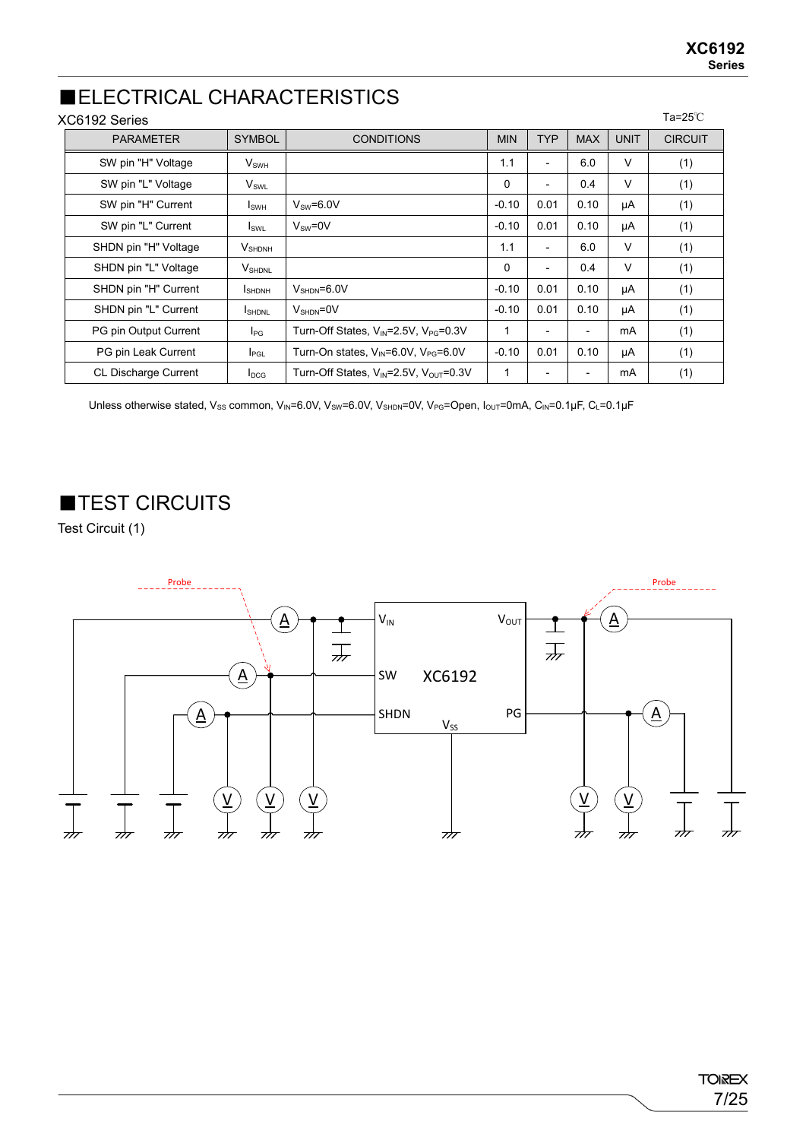Ta=25℃

### ■ELECTRICAL CHARACTERISTICS

#### XC6192 Series

| <b>PARAMETER</b>      | <b>SYMBOL</b>                    | <b>CONDITIONS</b>                                             | <b>MIN</b> | <b>TYP</b>               | <b>MAX</b> | <b>UNIT</b> | <b>CIRCUIT</b> |
|-----------------------|----------------------------------|---------------------------------------------------------------|------------|--------------------------|------------|-------------|----------------|
| SW pin "H" Voltage    | <b>V</b> <sub>swh</sub>          |                                                               | 1.1        | $\overline{\phantom{a}}$ | 6.0        | V           | (1)            |
| SW pin "L" Voltage    | $V_{SWL}$                        |                                                               | 0          | $\overline{\phantom{a}}$ | 0.4        | V           | (1)            |
| SW pin "H" Current    | I <sub>SWH</sub>                 | $V_{SW}=6.0V$                                                 | $-0.10$    | 0.01                     | 0.10       | μA          | (1)            |
| SW pin "L" Current    | $I_{SWL}$                        | $V_{\text{sw}} = 0V$                                          | $-0.10$    | 0.01                     | 0.10       | μA          | (1)            |
| SHDN pin "H" Voltage  | $V_{\scriptsize \textrm{SHDNH}}$ |                                                               | 1.1        | $\overline{\phantom{a}}$ | 6.0        | V           | (1)            |
| SHDN pin "L" Voltage  | V <sub>SHDNL</sub>               |                                                               | $\Omega$   | $\overline{\phantom{a}}$ | 0.4        | V           | (1)            |
| SHDN pin "H" Current  | <b>I</b> SHDNH                   | $V_{\text{SHDN}} = 6.0 V$                                     | $-0.10$    | 0.01                     | 0.10       | μA          | (1)            |
| SHDN pin "L" Current  | <b>I</b> SHDNL                   | $V_{\text{SHDN}} = 0V$                                        | $-0.10$    | 0.01                     | 0.10       | μA          | (1)            |
| PG pin Output Current | $I_{PG}$                         | Turn-Off States, V <sub>IN</sub> =2.5V, V <sub>PG</sub> =0.3V | 1          | $\overline{\phantom{a}}$ |            | mA          | (1)            |
| PG pin Leak Current   | $I_{PGL}$                        | Turn-On states, $V_{\text{IN}}=6.0V$ , $V_{\text{PG}}=6.0V$   | $-0.10$    | 0.01                     | 0.10       | μA          | (1)            |
| CL Discharge Current  | $I_{DCG}$                        | Turn-Off States, $V_{IN}$ =2.5V, $V_{OUT}$ =0.3V              | 1          |                          |            | mA          | (1)            |

Unless otherwise stated, V<sub>SS</sub> common, V<sub>IN</sub>=6.0V, V<sub>SW</sub>=6.0V, V<sub>SHDN</sub>=0V, V<sub>PG</sub>=Open, I<sub>OUT</sub>=0mA, C<sub>IN</sub>=0.1μF, C<sub>L</sub>=0.1μF

■TEST CIRCUITS

Test Circuit (1)

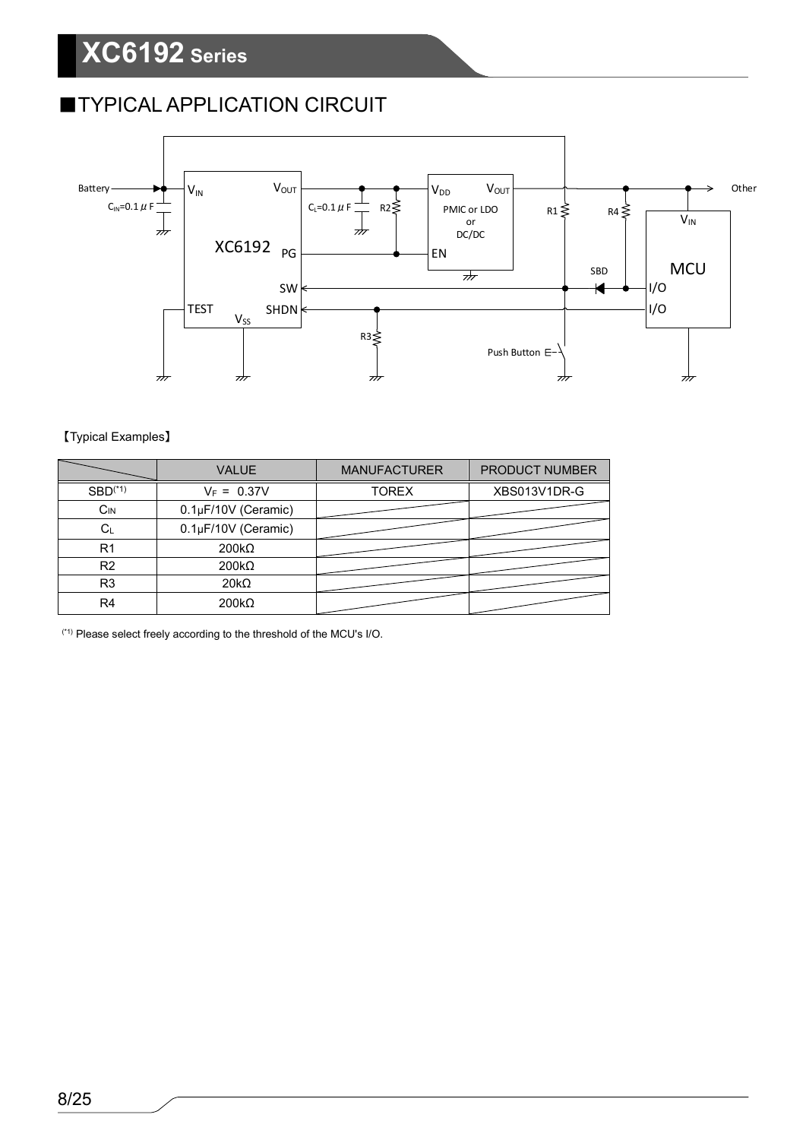## **TYPICAL APPLICATION CIRCUIT**



#### 【Typical Examples】

|                | <b>VALUE</b>        | <b>MANUFACTURER</b> | PRODUCT NUMBER |
|----------------|---------------------|---------------------|----------------|
| $SBD(*1)$      | $V_F = 0.37V$       | <b>TOREX</b>        | XBS013V1DR-G   |
| $C_{IN}$       | 0.1µF/10V (Ceramic) |                     |                |
| $C_L$          | 0.1µF/10V (Ceramic) |                     |                |
| R <sub>1</sub> | $200k\Omega$        |                     |                |
| R <sub>2</sub> | $200k\Omega$        |                     |                |
| R <sub>3</sub> | $20k\Omega$         |                     |                |
| R <sub>4</sub> | $200k\Omega$        |                     |                |

(\*1) Please select freely according to the threshold of the MCU's I/O.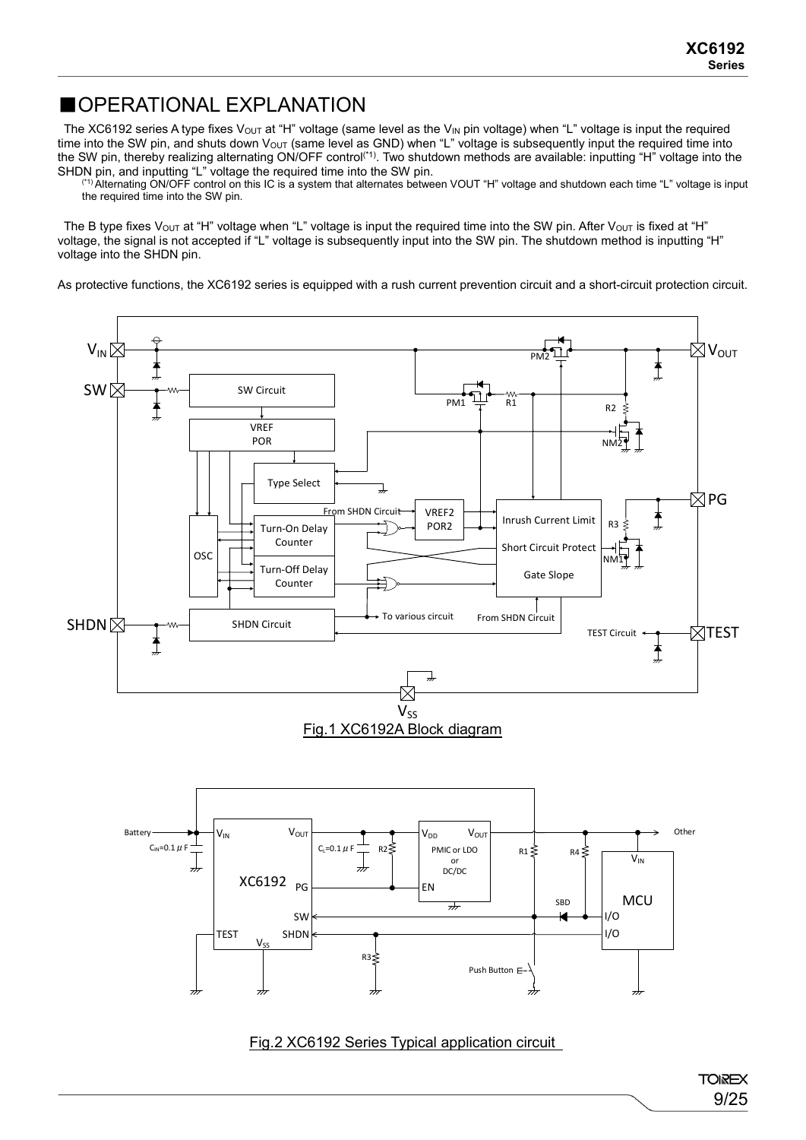### ■OPERATIONAL EXPLANATION

The XC6192 series A type fixes V<sub>OUT</sub> at "H" voltage (same level as the V<sub>IN</sub> pin voltage) when "L" voltage is input the required time into the SW pin, and shuts down VOUT (same level as GND) when "L" voltage is subsequently input the required time into the SW pin, thereby realizing alternating ON/OFF control<sup>(\*1)</sup>. Two shutdown methods are available: inputting "H" voltage into the SHDN pin, and inputting "L" voltage the required time into the SW pin.

(\*1) Alternating ON/OFF control on this IC is a system that alternates between VOUT "H" voltage and shutdown each time "L" voltage is input the required time into the SW pin.

The B type fixes V<sub>OUT</sub> at "H" voltage when "L" voltage is input the required time into the SW pin. After V<sub>OUT</sub> is fixed at "H" voltage, the signal is not accepted if "L" voltage is subsequently input into the SW pin. The shutdown method is inputting "H" voltage into the SHDN pin.

As protective functions, the XC6192 series is equipped with a rush current prevention circuit and a short-circuit protection circuit.



Fig.2 XC6192 Series Typical application circuit

TEST I/O

Push Button E

I/O

 $R3<sub>5</sub>$ 

SW

SHDN

 $V_{SS}$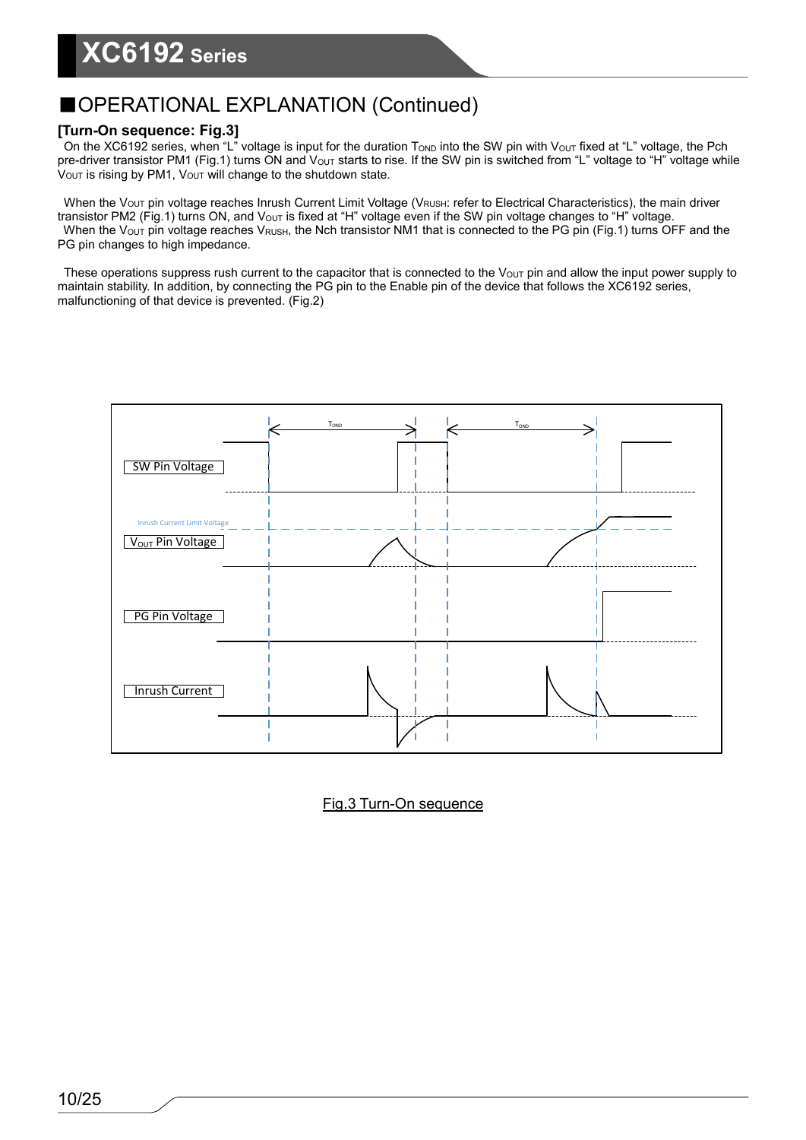#### **[Turn-On sequence: Fig.3]**

On the XC6192 series, when "L" voltage is input for the duration Tonp into the SW pin with Vout fixed at "L" voltage, the Pch pre-driver transistor PM1 (Fig.1) turns ON and V<sub>OUT</sub> starts to rise. If the SW pin is switched from "L" voltage to "H" voltage while  $V<sub>OUT</sub>$  is rising by PM1,  $V<sub>OUT</sub>$  will change to the shutdown state.

When the V<sub>OUT</sub> pin voltage reaches Inrush Current Limit Voltage (V<sub>RUSH</sub>: refer to Electrical Characteristics), the main driver transistor PM2 (Fig.1) turns ON, and V<sub>OUT</sub> is fixed at "H" voltage even if the SW pin voltage changes to "H" voltage. When the V<sub>OUT</sub> pin voltage reaches V<sub>RUSH</sub>, the Nch transistor NM1 that is connected to the PG pin (Fig.1) turns OFF and the PG pin changes to high impedance.

These operations suppress rush current to the capacitor that is connected to the  $V_{\text{OUT}}$  pin and allow the input power supply to maintain stability. In addition, by connecting the PG pin to the Enable pin of the device that follows the XC6192 series, malfunctioning of that device is prevented. (Fig.2)



Fig.3 Turn-On sequence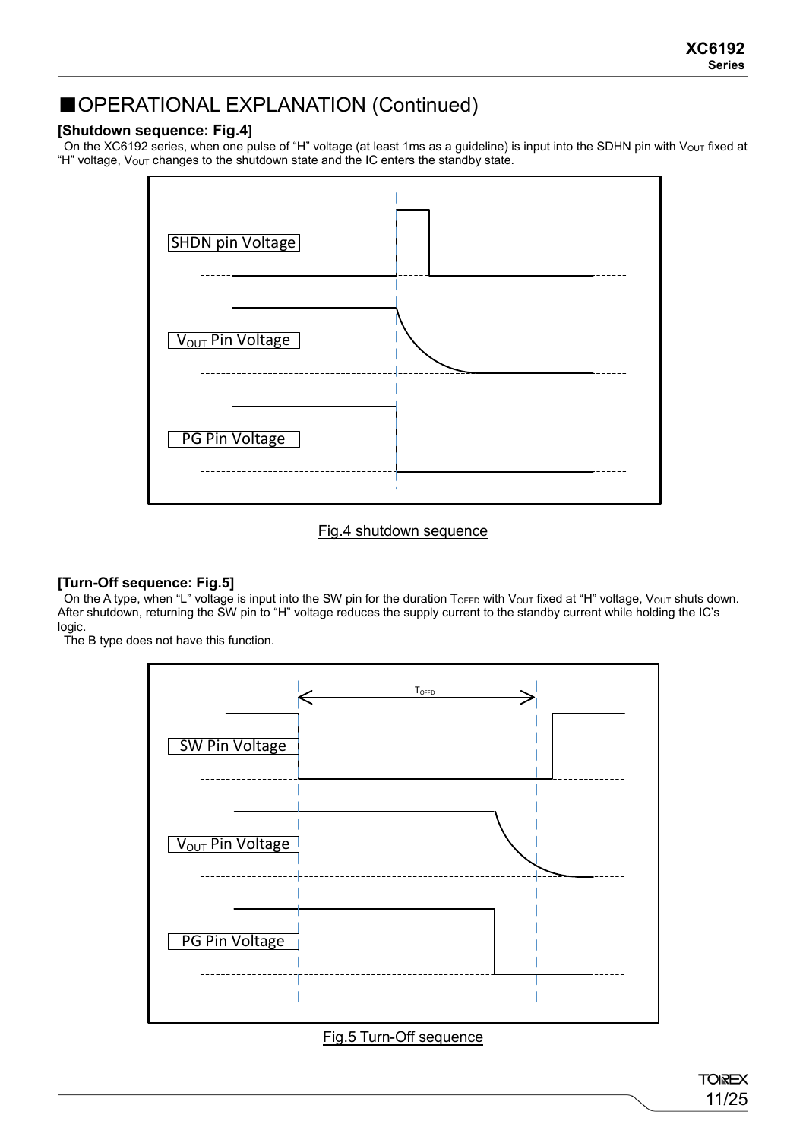#### **[Shutdown sequence: Fig.4]**

On the XC6192 series, when one pulse of "H" voltage (at least 1ms as a guideline) is input into the SDHN pin with Vout fixed at "H" voltage, Vout changes to the shutdown state and the IC enters the standby state.



#### Fig.4 shutdown sequence

#### **[Turn-Off sequence: Fig.5]**

On the A type, when "L" voltage is input into the SW pin for the duration ToFFD with Vout fixed at "H" voltage, Vout shuts down. After shutdown, returning the SW pin to "H" voltage reduces the supply current to the standby current while holding the IC's logic.

The B type does not have this function.



#### Fig.5 Turn-Off sequence

**TOIREX** 11/25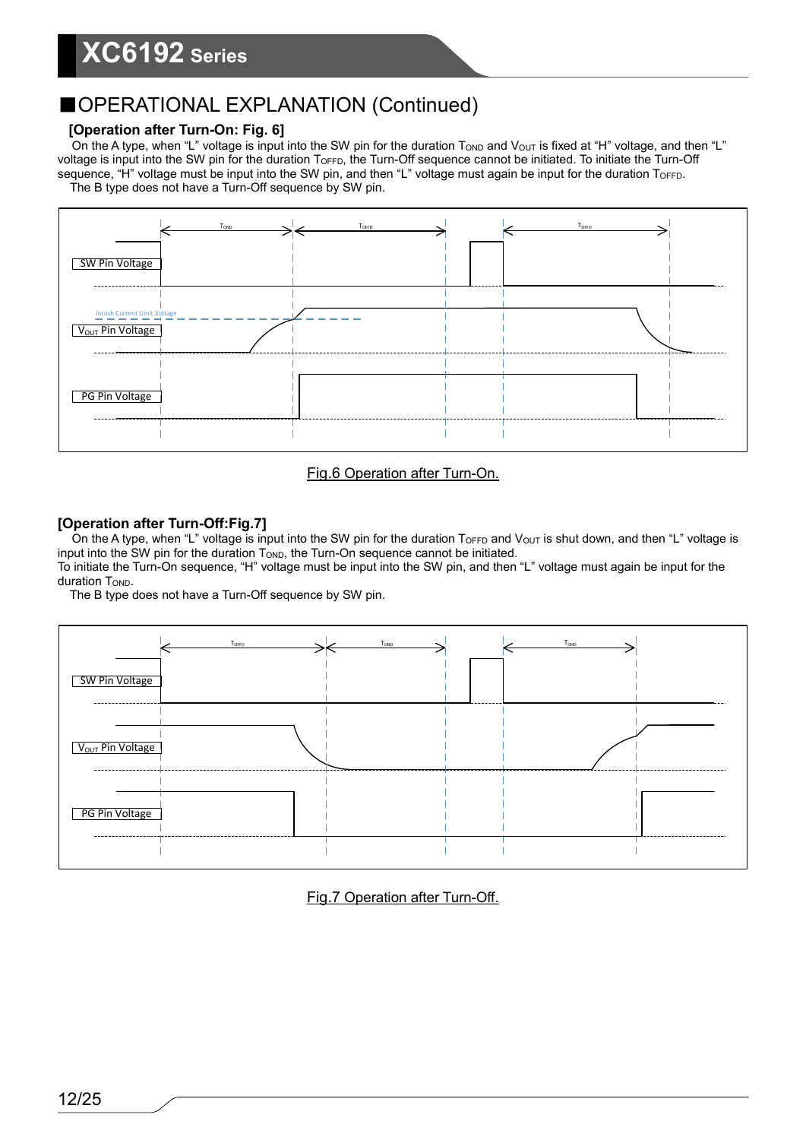#### **[Operation after Turn-On: Fig. 6]**

On the A type, when "L" voltage is input into the SW pin for the duration T<sub>OND</sub> and V<sub>OUT</sub> is fixed at "H" voltage, and then "L" voltage is input into the SW pin for the duration T<sub>OFFD</sub>, the Turn-Off sequence cannot be initiated. To initiate the Turn-Off sequence, "H" voltage must be input into the SW pin, and then "L" voltage must again be input for the duration TOFFD. The B type does not have a Turn-Off sequence by SW pin.



#### Fig.6 Operation after Turn-On.

#### **[Operation after Turn-Off:Fig.7]**

On the A type, when "L" voltage is input into the SW pin for the duration  $T_{\text{OFFD}}$  and  $V_{\text{OUT}}$  is shut down, and then "L" voltage is input into the SW pin for the duration  $T<sub>OND</sub>$ , the Turn-On sequence cannot be initiated.

To initiate the Turn-On sequence, "H" voltage must be input into the SW pin, and then "L" voltage must again be input for the duration T<sub>OND</sub>.

The B type does not have a Turn-Off sequence by SW pin.



Fig.7 Operation after Turn-Off.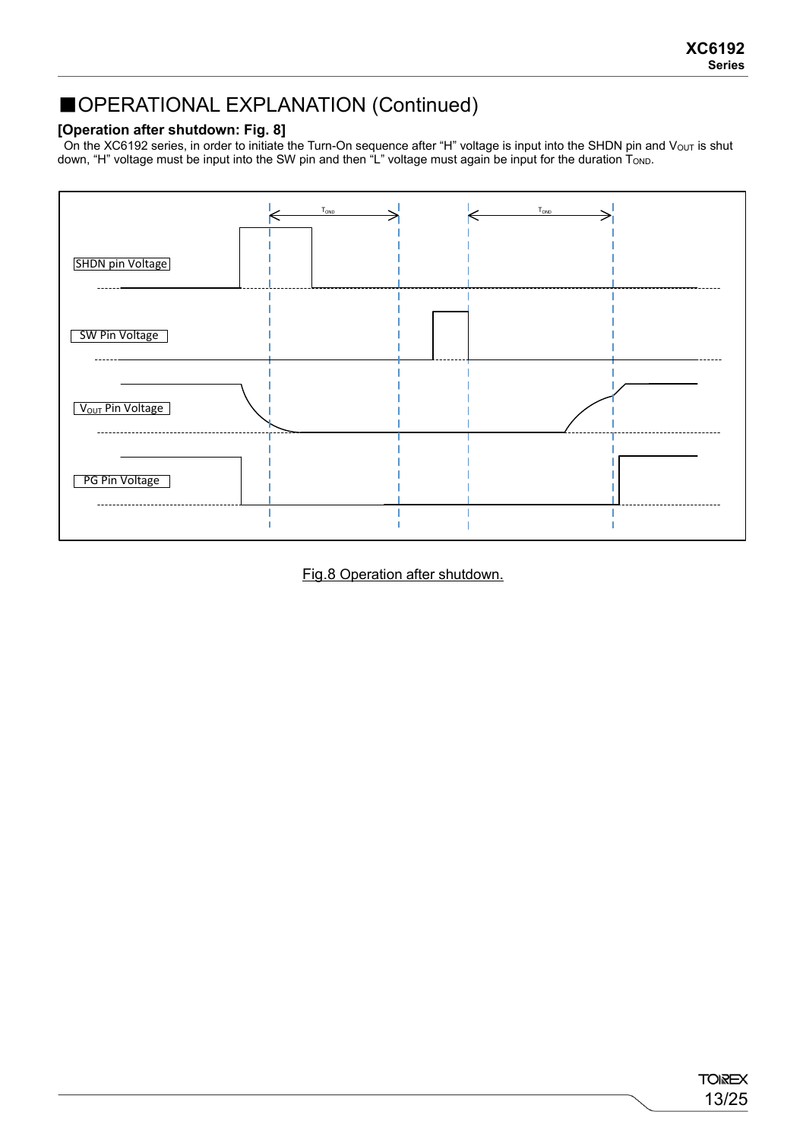#### **[Operation after shutdown: Fig. 8]**

On the XC6192 series, in order to initiate the Turn-On sequence after "H" voltage is input into the SHDN pin and V $_{\rm OUT}$  is shut down, "H" voltage must be input into the SW pin and then "L" voltage must again be input for the duration TOND.



Fig.8 Operation after shutdown.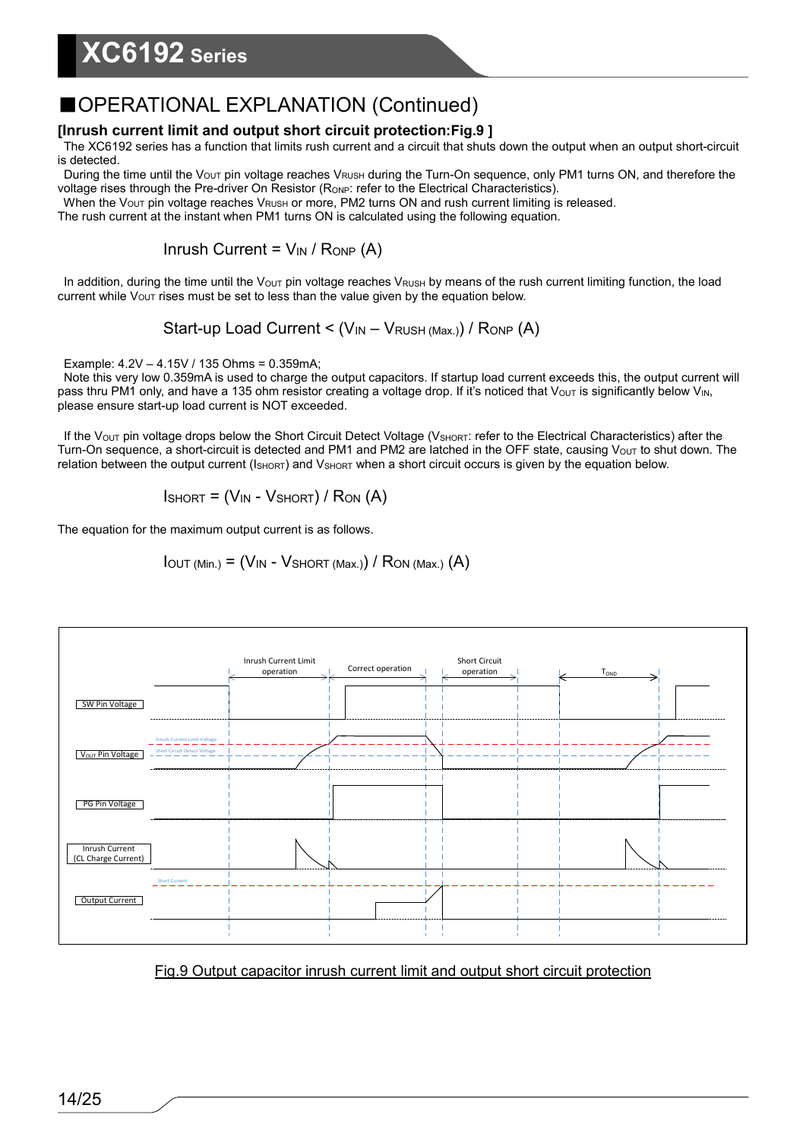### ■OPERATIONAL EXPLANATION (Continued)

### **[Inrush current limit and output short circuit protection:Fig.9 ]**

The XC6192 series has a function that limits rush current and a circuit that shuts down the output when an output short-circuit is detected.

During the time until the V<sub>OUT</sub> pin voltage reaches V<sub>RUSH</sub> during the Turn-On sequence, only PM1 turns ON, and therefore the voltage rises through the Pre-driver On Resistor (RoNP: refer to the Electrical Characteristics).

When the V<sub>OUT</sub> pin voltage reaches V<sub>RUSH</sub> or more, PM2 turns ON and rush current limiting is released.

The rush current at the instant when PM1 turns ON is calculated using the following equation.

Inrush Current =  $V_{IN}$  / Ronp (A)

In addition, during the time until the V<sub>OUT</sub> pin voltage reaches V<sub>RUSH</sub> by means of the rush current limiting function, the load current while  $V_{\text{OUT}}$  rises must be set to less than the value given by the equation below.

Start-up Load Current <  $(V_{IN} - V_{RUSH (Max)}) / R_{ONP} (A)$ 

Example: 4.2V – 4.15V / 135 Ohms = 0.359mA;

Note this very low 0.359mA is used to charge the output capacitors. If startup load current exceeds this, the output current will pass thru PM1 only, and have a 135 ohm resistor creating a voltage drop. If it's noticed that Vout is significantly below V<sub>IN</sub>, please ensure start-up load current is NOT exceeded.

If the V<sub>OUT</sub> pin voltage drops below the Short Circuit Detect Voltage (V<sub>SHORT</sub>: refer to the Electrical Characteristics) after the Turn-On sequence, a short-circuit is detected and PM1 and PM2 are latched in the OFF state, causing V<sub>OUT</sub> to shut down. The relation between the output current (ISHORT) and VSHORT when a short circuit occurs is given by the equation below.

$$
Ishor = (V_{IN} - Vshort) / Ron (A)
$$

The equation for the maximum output current is as follows.

 $I_{\text{OUT (Min.)}} = (V_{\text{IN}} - V_{\text{SHORT (Max.)}}) / R_{\text{ON (Max.)}}(A)$ 



### Fig.9 Output capacitor inrush current limit and output short circuit protection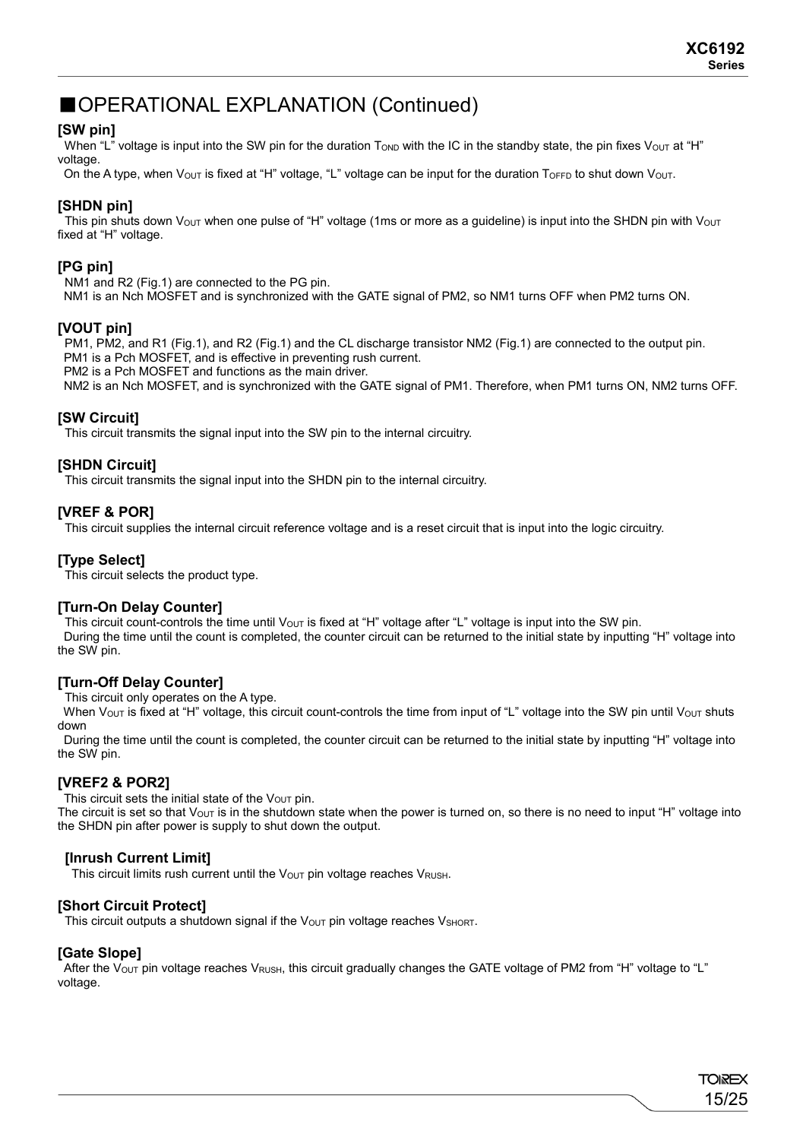#### **[SW pin]**

When "L" voltage is input into the SW pin for the duration  $T_{OND}$  with the IC in the standby state, the pin fixes  $V_{OUT}$  at "H" voltage

On the A type, when  $V_{\text{OUT}}$  is fixed at "H" voltage, "L" voltage can be input for the duration  $T_{\text{OFF}}$  to shut down  $V_{\text{OUT}}$ .

#### **[SHDN pin]**

This pin shuts down  $V_{\text{OUT}}$  when one pulse of "H" voltage (1ms or more as a guideline) is input into the SHDN pin with  $V_{\text{OUT}}$ fixed at "H" voltage.

#### **[PG pin]**

NM1 and R2 (Fig.1) are connected to the PG pin. NM1 is an Nch MOSFET and is synchronized with the GATE signal of PM2, so NM1 turns OFF when PM2 turns ON.

#### **[VOUT pin]**

PM1, PM2, and R1 (Fig.1), and R2 (Fig.1) and the CL discharge transistor NM2 (Fig.1) are connected to the output pin. PM1 is a Pch MOSFET, and is effective in preventing rush current.

PM2 is a Pch MOSFET and functions as the main driver.

NM2 is an Nch MOSFET, and is synchronized with the GATE signal of PM1. Therefore, when PM1 turns ON, NM2 turns OFF.

#### **[SW Circuit]**

This circuit transmits the signal input into the SW pin to the internal circuitry.

#### **[SHDN Circuit]**

This circuit transmits the signal input into the SHDN pin to the internal circuitry.

#### **[VREF & POR]**

This circuit supplies the internal circuit reference voltage and is a reset circuit that is input into the logic circuitry.

#### **[Type Select]**

This circuit selects the product type.

#### **[Turn-On Delay Counter]**

This circuit count-controls the time until  $V_{\text{OUT}}$  is fixed at "H" voltage after "L" voltage is input into the SW pin. During the time until the count is completed, the counter circuit can be returned to the initial state by inputting "H" voltage into the SW pin.

#### **[Turn-Off Delay Counter]**

This circuit only operates on the A type.

When  $V_{\text{OUT}}$  is fixed at "H" voltage, this circuit count-controls the time from input of "L" voltage into the SW pin until  $V_{\text{OUT}}$  shuts down

During the time until the count is completed, the counter circuit can be returned to the initial state by inputting "H" voltage into the SW pin.

#### **[VREF2 & POR2]**

This circuit sets the initial state of the  $V_{\text{OUT}}$  pin.

The circuit is set so that  $V_{\text{OUT}}$  is in the shutdown state when the power is turned on, so there is no need to input "H" voltage into the SHDN pin after power is supply to shut down the output.

#### **[Inrush Current Limit]**

This circuit limits rush current until the  $V_{\text{OUT}}$  pin voltage reaches  $V_{\text{RUSH}}$ .

#### **[Short Circuit Protect]**

This circuit outputs a shutdown signal if the  $V_{\text{OUT}}$  pin voltage reaches  $V_{\text{SHORT}}$ .

#### **[Gate Slope]**

After the V<sub>OUT</sub> pin voltage reaches V<sub>RUSH</sub>, this circuit gradually changes the GATE voltage of PM2 from "H" voltage to "L" voltage.

> **TOREX** 15/25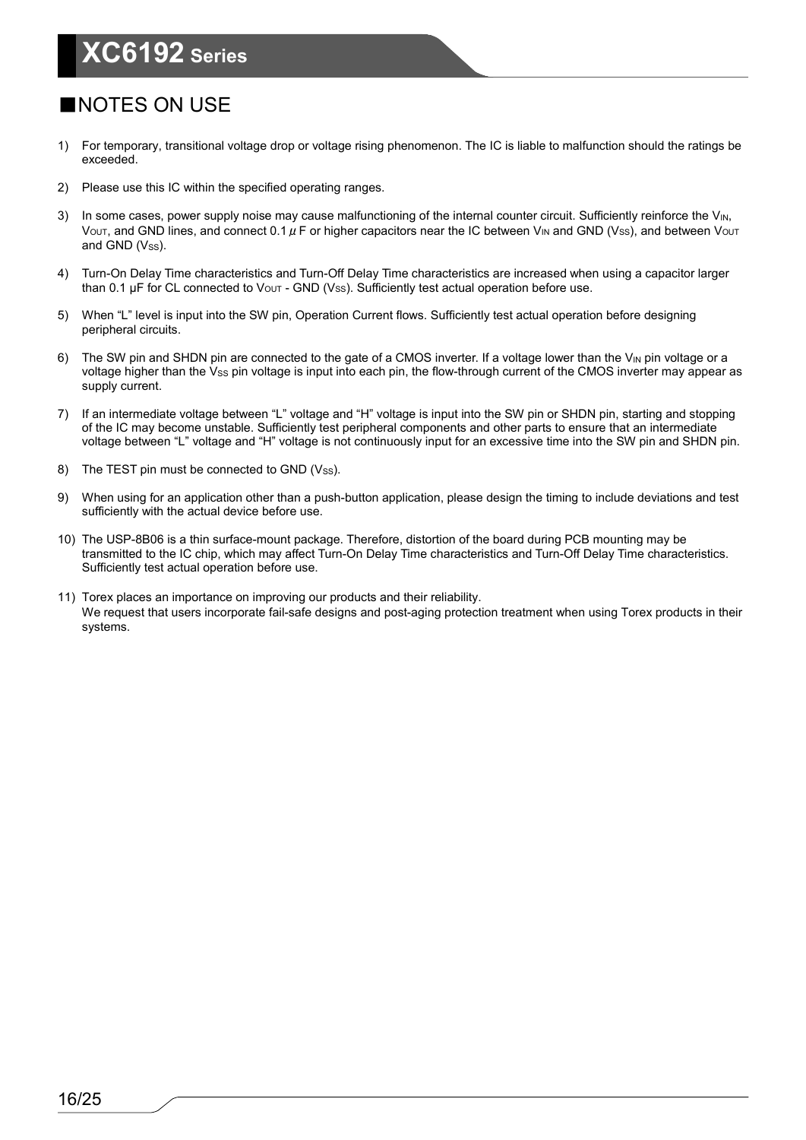### ■NOTES ON USE

- 1) For temporary, transitional voltage drop or voltage rising phenomenon. The IC is liable to malfunction should the ratings be exceeded.
- 2) Please use this IC within the specified operating ranges.
- 3) In some cases, power supply noise may cause malfunctioning of the internal counter circuit. Sufficiently reinforce the V<sub>IN</sub>, V<sub>OUT</sub>, and GND lines, and connect 0.1  $\mu$  F or higher capacitors near the IC between V<sub>IN</sub> and GND (Vss), and between V<sub>OUT</sub> and GND  $(V_{SS})$ .
- 4) Turn-On Delay Time characteristics and Turn-Off Delay Time characteristics are increased when using a capacitor larger than 0.1 µF for CL connected to  $V_{\text{OUT}}$  - GND (Vss). Sufficiently test actual operation before use.
- 5) When "L" level is input into the SW pin, Operation Current flows. Sufficiently test actual operation before designing peripheral circuits.
- 6) The SW pin and SHDN pin are connected to the gate of a CMOS inverter. If a voltage lower than the V<sub>IN</sub> pin voltage or a voltage higher than the Vss pin voltage is input into each pin, the flow-through current of the CMOS inverter may appear as supply current.
- 7) If an intermediate voltage between "L" voltage and "H" voltage is input into the SW pin or SHDN pin, starting and stopping of the IC may become unstable. Sufficiently test peripheral components and other parts to ensure that an intermediate voltage between "L" voltage and "H" voltage is not continuously input for an excessive time into the SW pin and SHDN pin.
- 8) The TEST pin must be connected to GND (Vss).
- 9) When using for an application other than a push-button application, please design the timing to include deviations and test sufficiently with the actual device before use.
- 10) The USP-8B06 is a thin surface-mount package. Therefore, distortion of the board during PCB mounting may be transmitted to the IC chip, which may affect Turn-On Delay Time characteristics and Turn-Off Delay Time characteristics. Sufficiently test actual operation before use.
- 11) Torex places an importance on improving our products and their reliability. We request that users incorporate fail-safe designs and post-aging protection treatment when using Torex products in their systems.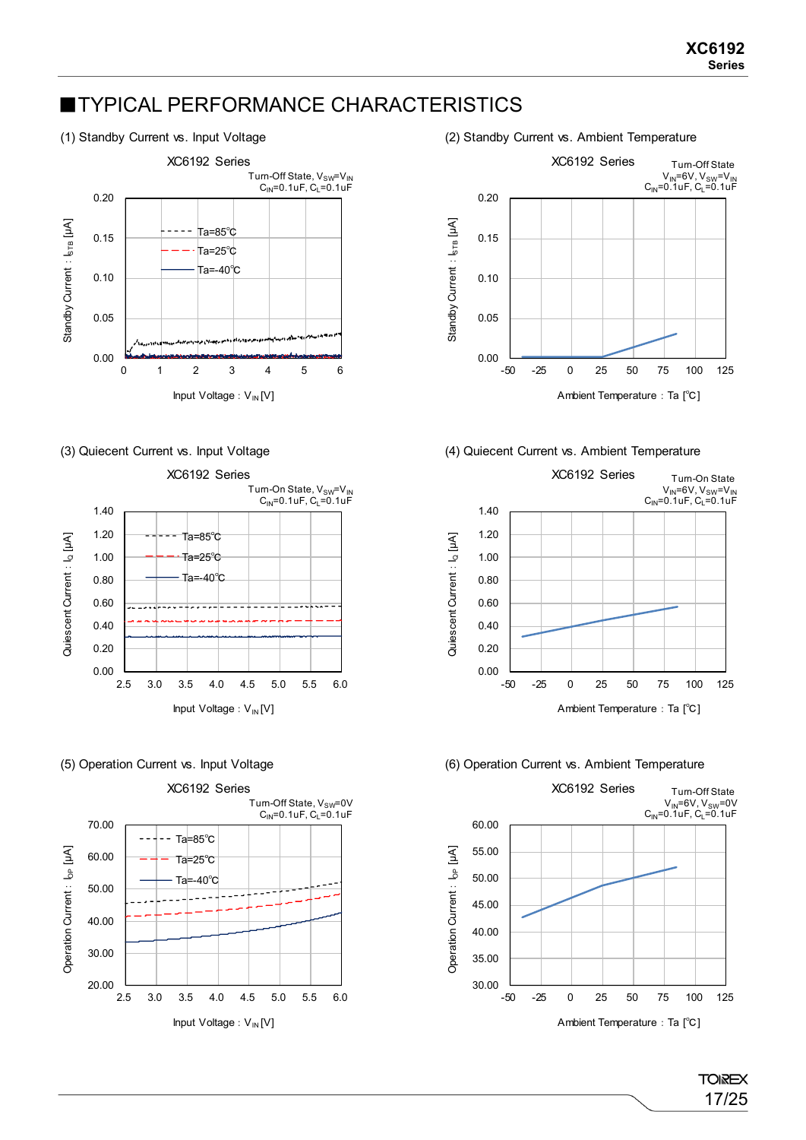### **■TYPICAL PERFORMANCE CHARACTERISTICS**







(1) Standby Current vs. Input Voltage (2) Standby Current vs. Ambient Temperature



#### (3) Quiecent Current vs. Input Voltage (4) Quiecent Current vs. Ambient Temperature



#### (5) Operation Current vs. Input Voltage (6) Operation Current vs. Ambient Temperature



17/25

**TOIREX**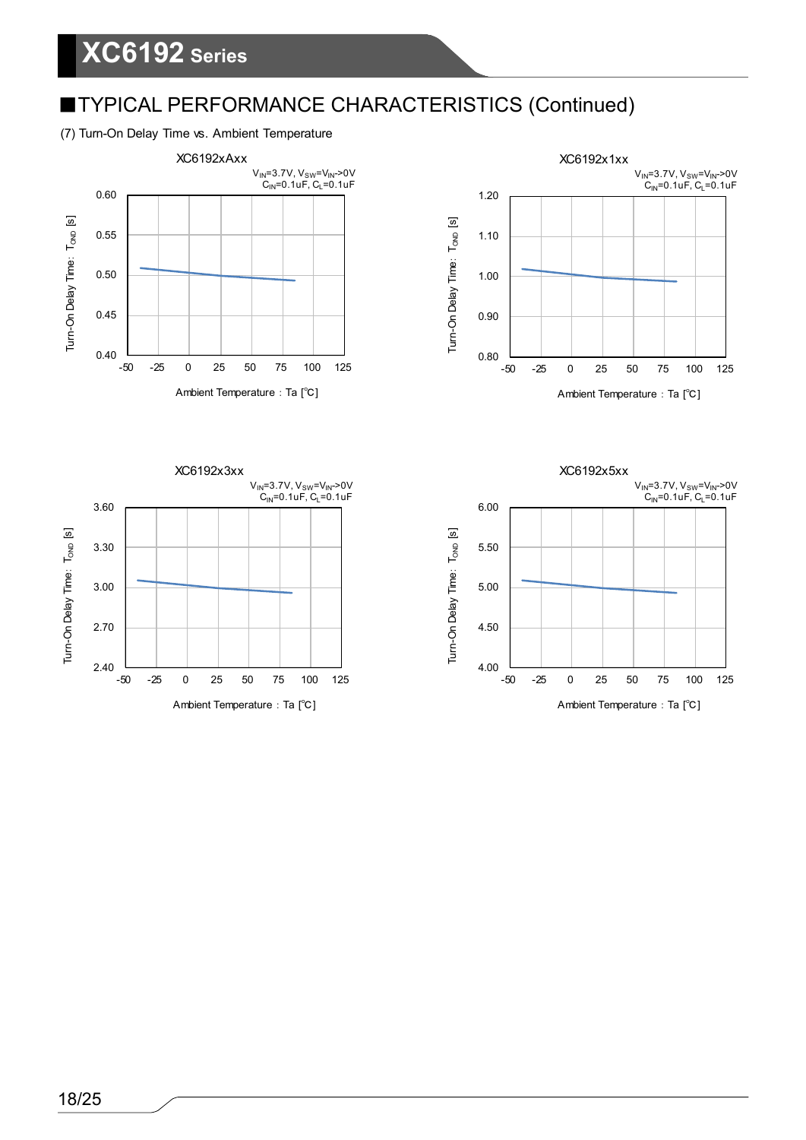### ■TYPICAL PERFORMANCE CHARACTERISTICS (Continued)

#### (7) Turn-On Delay Time vs. Ambient Temperature







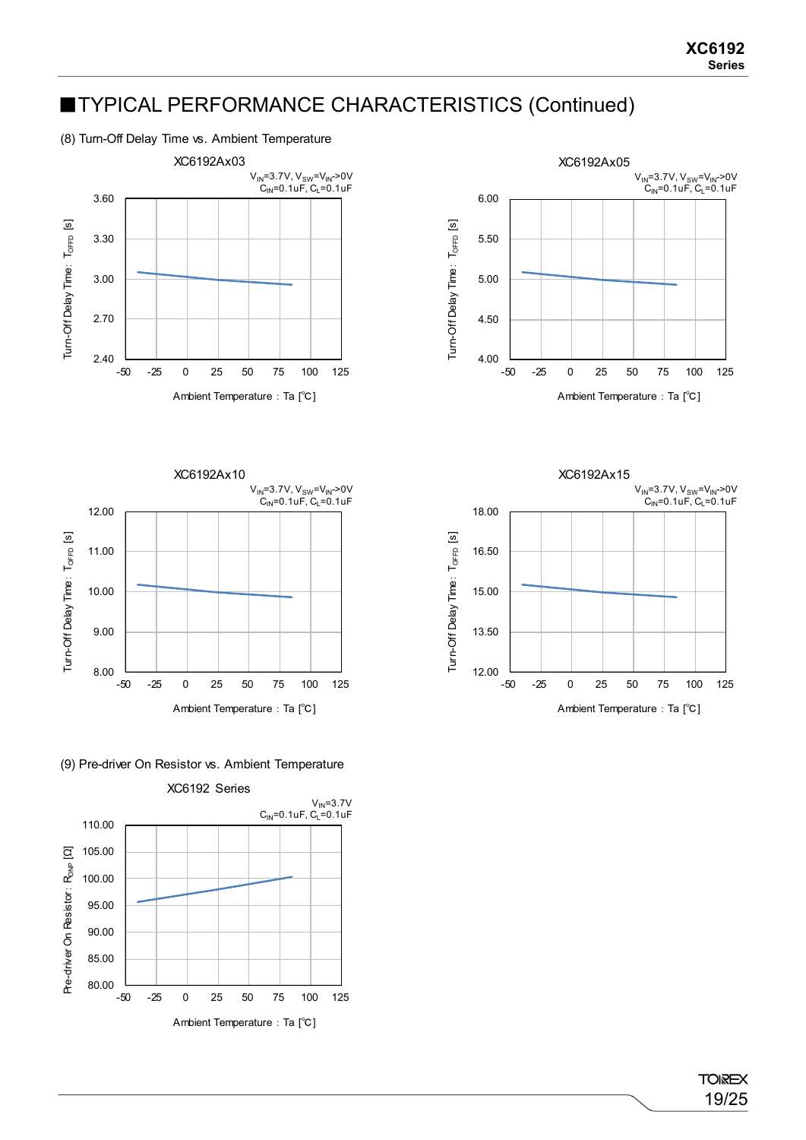### ■TYPICAL PERFORMANCE CHARACTERISTICS (Continued)

(8) Turn-Off Delay Time vs. Ambient Temperature







(9) Pre-driver On Resistor vs. Ambient Temperature



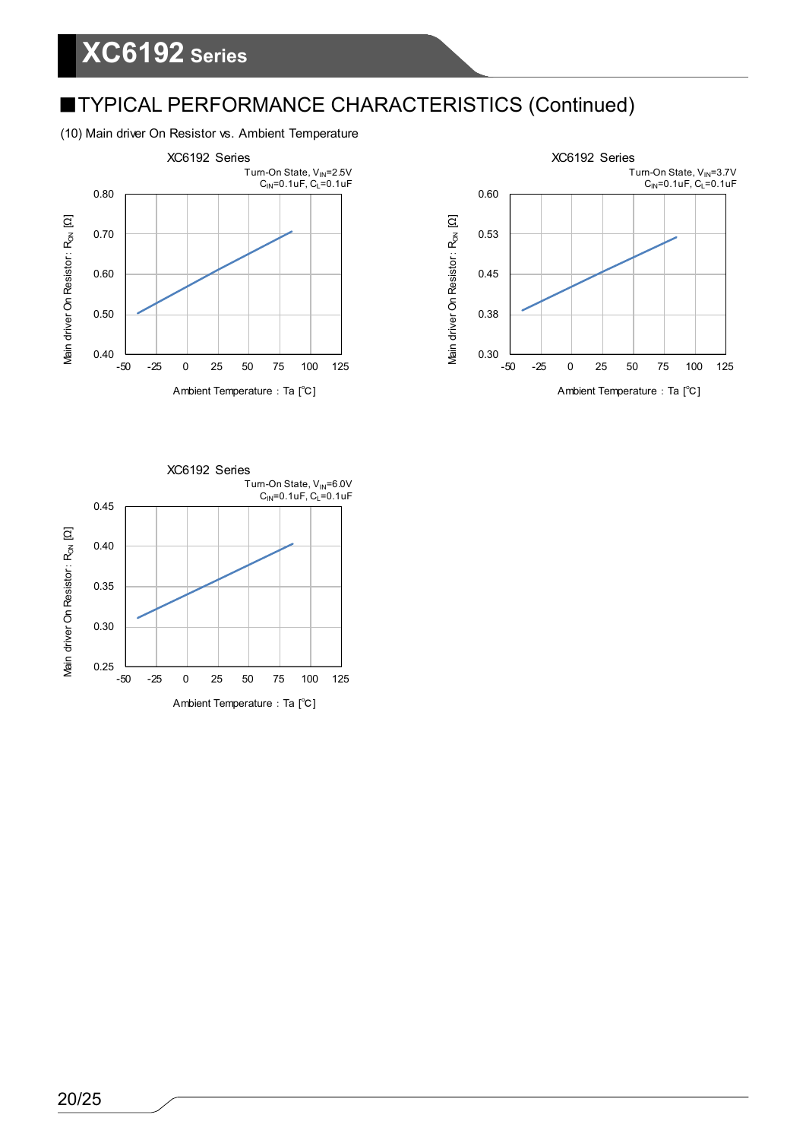## ■TYPICAL PERFORMANCE CHARACTERISTICS (Continued)

#### (10) Main driver On Resistor vs. Ambient Temperature





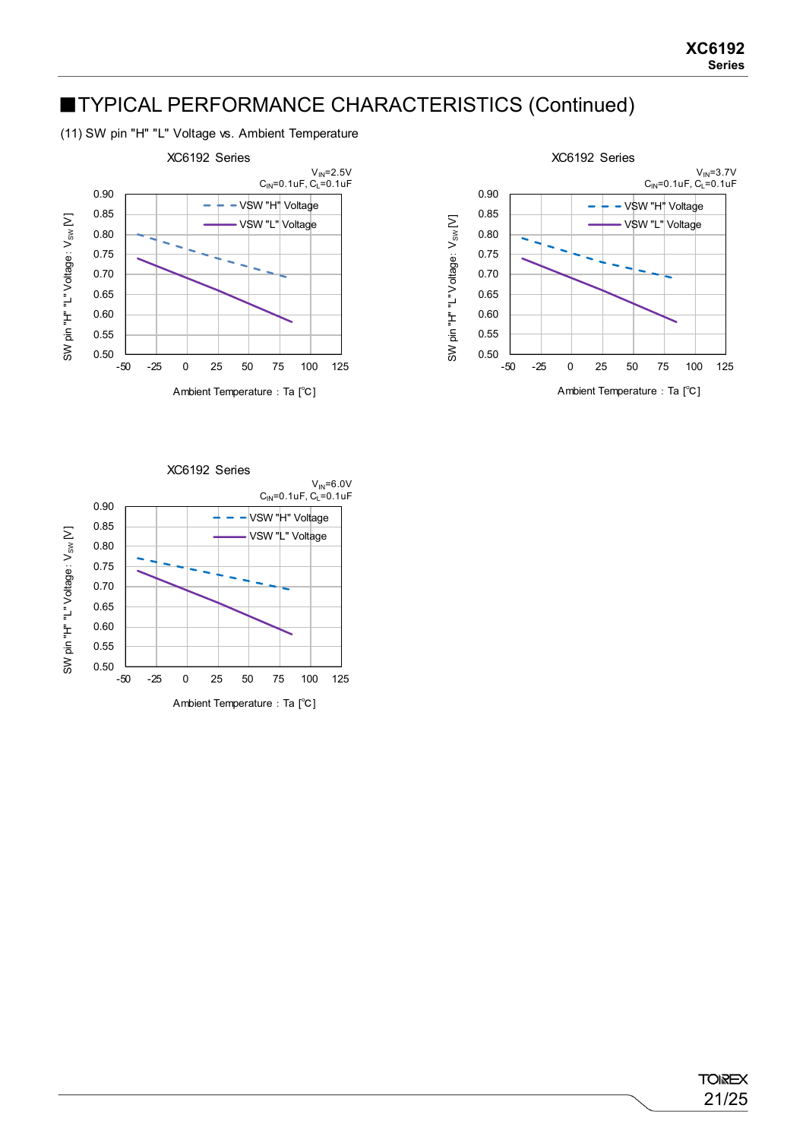### ■TYPICAL PERFORMANCE CHARACTERISTICS (Continued)

(11) SW pin "H" "L" Voltage vs. Ambient Temperature





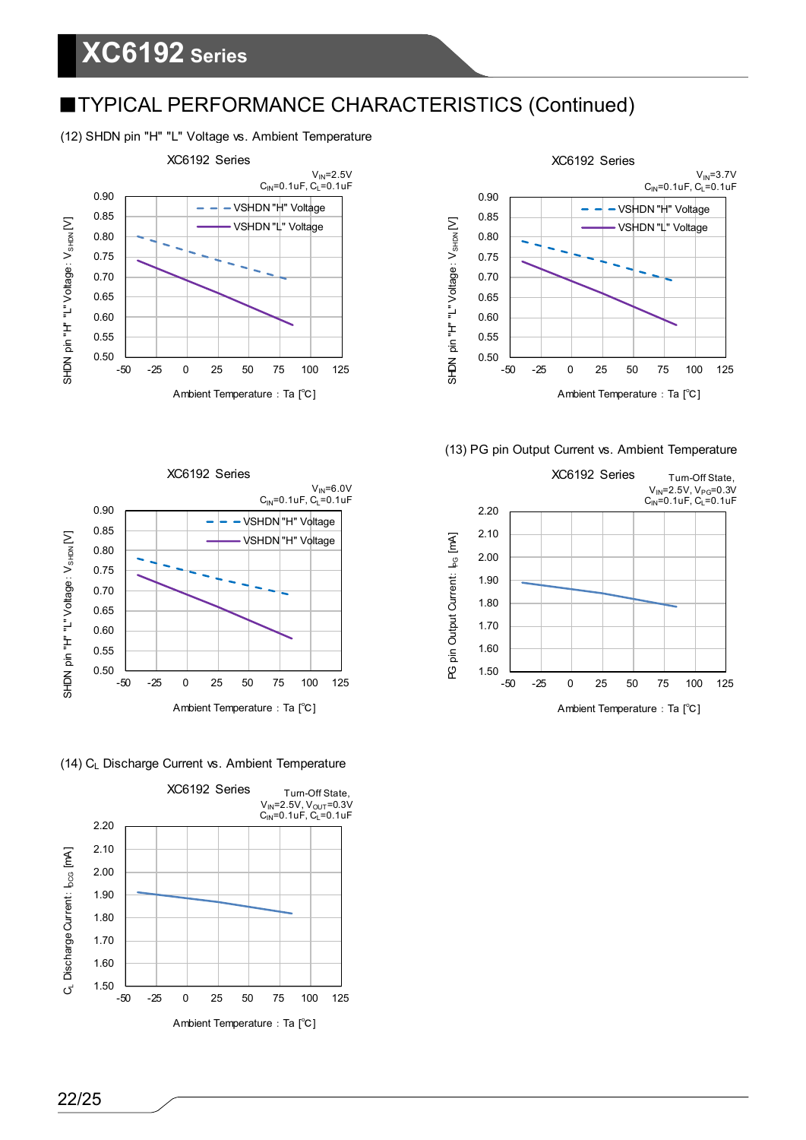### ■TYPICAL PERFORMANCE CHARACTERISTICS (Continued)

#### (12) SHDN pin "H" "L" Voltage vs. Ambient Temperature





#### (13) PG pin Output Current vs. Ambient Temperature





#### (14) C<sub>L</sub> Discharge Current vs. Ambient Temperature

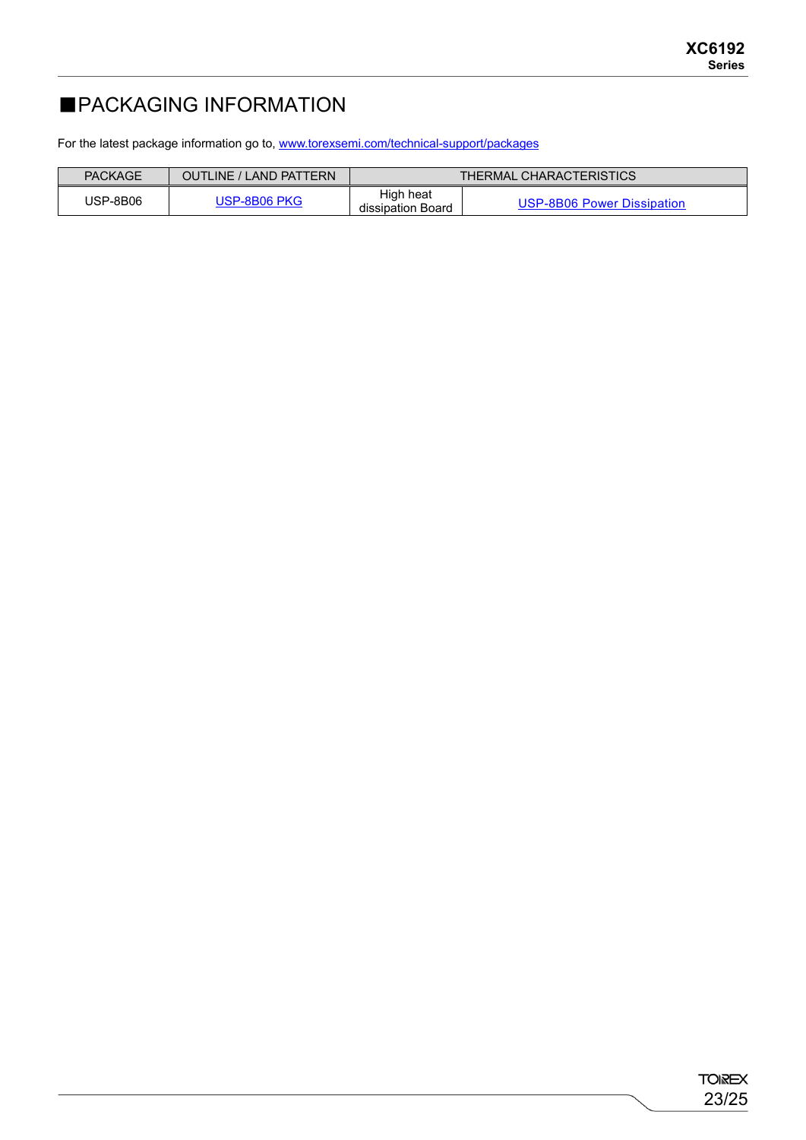### ■PACKAGING INFORMATION

For the latest package information go to, [www.torexsemi.com/technical-support/packages](https://www.torexsemi.com/technical-support/packages/)

| PACKAGE  | <b>OUTLINE / LAND PATTERN</b> | THERMAL CHARACTERISTICS        |                            |
|----------|-------------------------------|--------------------------------|----------------------------|
| JSP-8B06 | JSP-8B06 PKG                  | High heat<br>dissipation Board | USP-8B06 Power Dissipation |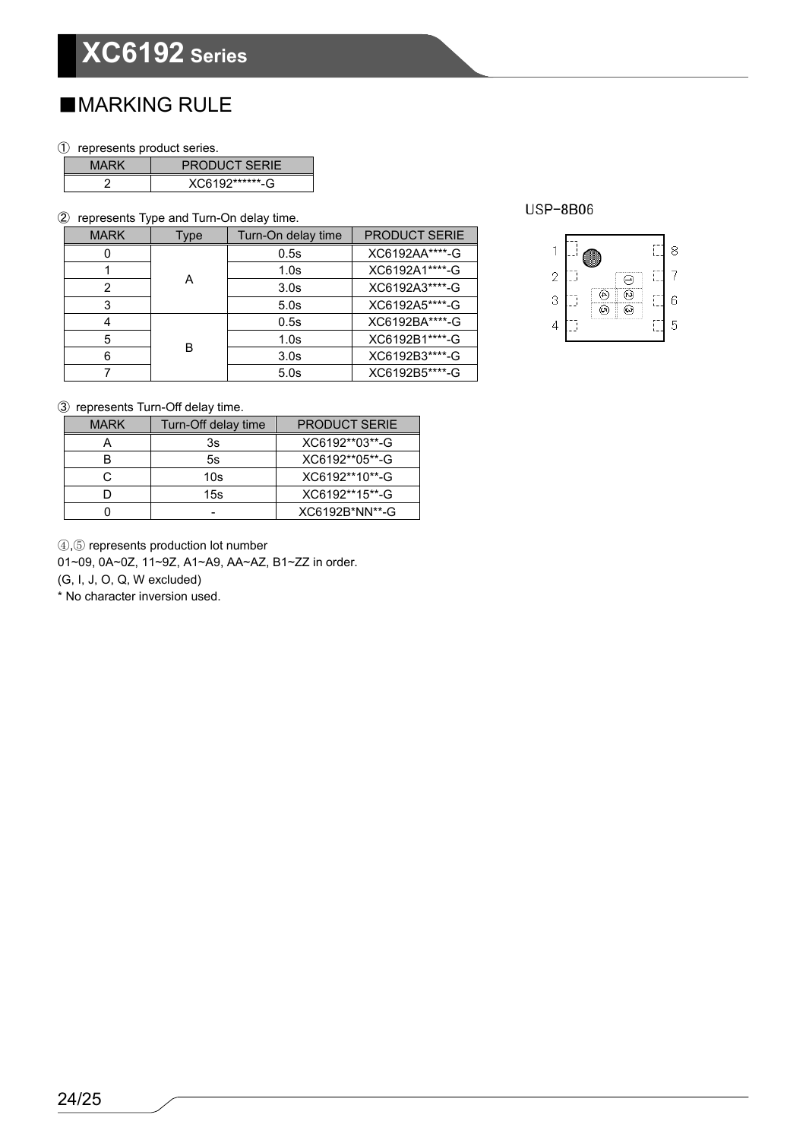### ■MARKING RULE

① represents product series.

| MARK | <b>PRODUCT SERIE</b> |  |
|------|----------------------|--|
|      | XC6192*******-G      |  |

② represents Type and Turn-On delay time.

| <b>MARK</b> | Type | Turn-On delay time | <b>PRODUCT SERIE</b> |
|-------------|------|--------------------|----------------------|
|             |      | 0.5s               | XC6192AA****-G       |
|             |      | 1.0 <sub>s</sub>   | XC6192A1****-G       |
| 2           | А    | 3.0 <sub>s</sub>   | XC6192A3****-G       |
| 3           |      | 5.0s               | XC6192A5****-G       |
|             |      | 0.5s               | XC6192BA****-G       |
| 5           |      | 1.0 <sub>s</sub>   | XC6192B1****-G       |
| 6           | в    | 3.0 <sub>s</sub>   | XC6192B3****-G       |
|             |      | 5.0s               | XC6192B5****-G       |

**USP-8B06** 



③ represents Turn-Off delay time.

| <b>MARK</b> | Turn-Off delay time | <b>PRODUCT SERIE</b> |
|-------------|---------------------|----------------------|
|             | 3s                  | XC6192**03**-G       |
|             | 5s                  | XC6192**05**-G       |
| C.          | 10s                 | XC6192**10**-G       |
|             | 15s                 | XC6192**15**-G       |
|             |                     | XC6192B*NN**-G       |

④,⑤ represents production lot number

01~09, 0A~0Z, 11~9Z, A1~A9, AA~AZ, B1~ZZ in order.

(G, I, J, O, Q, W excluded)

\* No character inversion used.